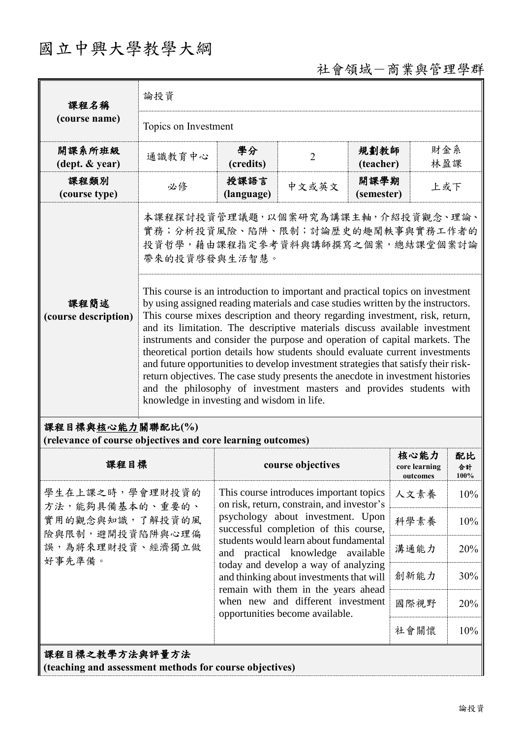## 國立中興大學教學大綱

## 社會領域-商業與管理學群

| 課程名稱                                                                | 論投資                                                                                                                                                                                                                                                                                                                                                                                                                                                                                                                                                                                                                                                                                                                                                                                          |                    |                                                                                                                          |                    |                                   |                   |
|---------------------------------------------------------------------|----------------------------------------------------------------------------------------------------------------------------------------------------------------------------------------------------------------------------------------------------------------------------------------------------------------------------------------------------------------------------------------------------------------------------------------------------------------------------------------------------------------------------------------------------------------------------------------------------------------------------------------------------------------------------------------------------------------------------------------------------------------------------------------------|--------------------|--------------------------------------------------------------------------------------------------------------------------|--------------------|-----------------------------------|-------------------|
| (course name)                                                       | Topics on Investment                                                                                                                                                                                                                                                                                                                                                                                                                                                                                                                                                                                                                                                                                                                                                                         |                    |                                                                                                                          |                    |                                   |                   |
| 開課系所班級<br>$(\text{dept.} \& \text{ year})$                          | 通識教育中心                                                                                                                                                                                                                                                                                                                                                                                                                                                                                                                                                                                                                                                                                                                                                                                       | 學分<br>(credits)    | $\overline{2}$                                                                                                           | 規劃教師<br>(teacher)  | 財金系<br>林盈課                        |                   |
| 課程類別<br>(course type)                                               | 必修                                                                                                                                                                                                                                                                                                                                                                                                                                                                                                                                                                                                                                                                                                                                                                                           | 授課語言<br>(language) | 中文或英文                                                                                                                    | 開課學期<br>(semester) | 上或下                               |                   |
|                                                                     | 本課程探討投資管理議題,以個案研究為講課主軸,介紹投資觀念、理論、<br>實務;分析投資風險、陷阱、限制;討論歷史的趣聞軼事與實務工作者的<br>投資哲學,藉由課程指定參考資料與講師撰寫之個案,總結課堂個案討論<br>帶來的投資啓發與生活智慧。                                                                                                                                                                                                                                                                                                                                                                                                                                                                                                                                                                                                                                                                   |                    |                                                                                                                          |                    |                                   |                   |
| 課程簡述<br>(course description)                                        | This course is an introduction to important and practical topics on investment<br>by using assigned reading materials and case studies written by the instructors.<br>This course mixes description and theory regarding investment, risk, return,<br>and its limitation. The descriptive materials discuss available investment<br>instruments and consider the purpose and operation of capital markets. The<br>theoretical portion details how students should evaluate current investments<br>and future opportunities to develop investment strategies that satisfy their risk-<br>return objectives. The case study presents the anecdote in investment histories<br>and the philosophy of investment masters and provides students with<br>knowledge in investing and wisdom in life. |                    |                                                                                                                          |                    |                                   |                   |
|                                                                     |                                                                                                                                                                                                                                                                                                                                                                                                                                                                                                                                                                                                                                                                                                                                                                                              |                    |                                                                                                                          |                    |                                   |                   |
| 課程目標與核心能力關聯配比(%)                                                    |                                                                                                                                                                                                                                                                                                                                                                                                                                                                                                                                                                                                                                                                                                                                                                                              |                    |                                                                                                                          |                    |                                   |                   |
| (relevance of course objectives and core learning outcomes)<br>課程目標 |                                                                                                                                                                                                                                                                                                                                                                                                                                                                                                                                                                                                                                                                                                                                                                                              |                    | course objectives                                                                                                        |                    | 核心能力<br>core learning<br>outcomes | 配比<br>合計<br>100%  |
| 學生在上課之時,學會理財投資的                                                     |                                                                                                                                                                                                                                                                                                                                                                                                                                                                                                                                                                                                                                                                                                                                                                                              |                    | This course introduces important topics                                                                                  |                    | 人文素養                              |                   |
| 方法,能夠具備基本的、重要的、<br>實用的觀念與知識,了解投資的風                                  |                                                                                                                                                                                                                                                                                                                                                                                                                                                                                                                                                                                                                                                                                                                                                                                              |                    | on risk, return, constrain, and investor's<br>psychology about investment. Upon<br>successful completion of this course, |                    | 科學素養                              |                   |
| 險與限制,避開投資陷阱與心理偏<br>誤,為將來理財投資、經濟獨立做                                  |                                                                                                                                                                                                                                                                                                                                                                                                                                                                                                                                                                                                                                                                                                                                                                                              |                    | students would learn about fundamental<br>and practical knowledge available                                              |                    | 溝通能力                              | 20%               |
| 好事先準備。                                                              |                                                                                                                                                                                                                                                                                                                                                                                                                                                                                                                                                                                                                                                                                                                                                                                              |                    | today and develop a way of analyzing<br>and thinking about investments that will                                         |                    | 創新能力                              | 30%               |
|                                                                     |                                                                                                                                                                                                                                                                                                                                                                                                                                                                                                                                                                                                                                                                                                                                                                                              |                    | remain with them in the years ahead<br>when new and different investment                                                 |                    | 國際視野                              | 10%<br>10%<br>20% |
|                                                                     |                                                                                                                                                                                                                                                                                                                                                                                                                                                                                                                                                                                                                                                                                                                                                                                              |                    | opportunities become available.                                                                                          |                    | 社會關懷                              | 10%               |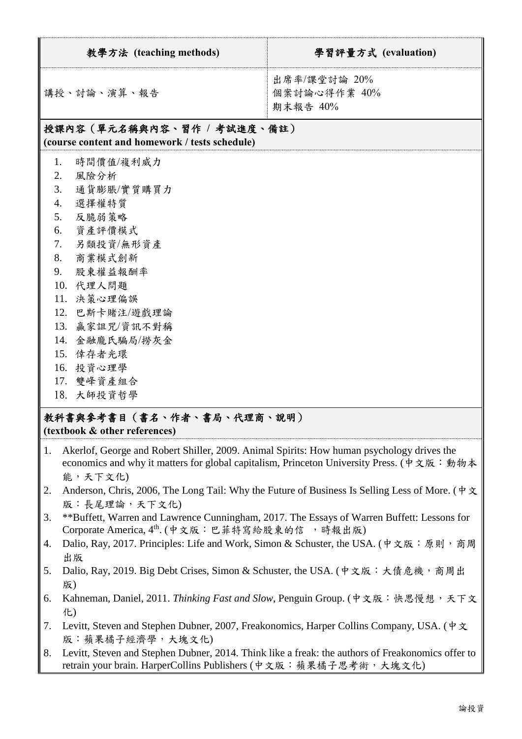| 教學方法 (teaching methods)                                                                                                                                                                                                                                     | 學習評量方式 (evaluation)                      |  |  |  |
|-------------------------------------------------------------------------------------------------------------------------------------------------------------------------------------------------------------------------------------------------------------|------------------------------------------|--|--|--|
| 講授、討論、演算、報告                                                                                                                                                                                                                                                 | 出席率/課堂討論 20%<br>個案討論心得作業 40%<br>期末報告 40% |  |  |  |
| 授課內容(單元名稱與內容、習作 / 考試進度、備註)<br>(course content and homework / tests schedule)                                                                                                                                                                                |                                          |  |  |  |
| 1.<br>時間價值/複利威力<br>2.<br>風險分析<br>3.<br>通貨膨脹/實質購買力<br>選擇權特質<br>4.<br>反脆弱策略<br>5.<br>6. 資產評價模式<br>另類投資/無形資產<br>7.<br>商業模式創新<br>8.<br>股東權益報酬率<br>9.<br>10. 代理人問題<br>11. 決策心理偏誤<br>12. 巴斯卡賭注/遊戲理論<br>13. 赢家詛咒/資訊不對稱<br>14. 金融龐氏騙局/撈灰金<br>15. 倖存者光環<br>16. 投資心理學 |                                          |  |  |  |

18. 大師投資哲學

## 教科書與參考書目(書名、作者、書局、代理商、說明) **(textbook & other references)**

- 1. Akerlof, George and Robert Shiller, 2009. Animal Spirits: How human psychology drives the economics and why it matters for global capitalism, Princeton University Press. (中文版:動物本 能,天下文化)
- 2. Anderson, Chris, 2006, The Long Tail: Why the Future of Business Is Selling Less of More. ( $\phi \propto$ 版:長尾理論,天下文化)
- 3. \*\*Buffett, Warren and Lawrence Cunningham, 2017. The Essays of Warren Buffett: Lessons for Corporate America, 4<sup>th</sup>. (中文版:巴菲特寫給股東的信,時報出版)
- 4. Dalio, Ray, 2017. Principles: Life and Work, Simon & Schuster, the USA. (中文版:原則,商周 出版
- 5. Dalio, Ray, 2019. Big Debt Crises, Simon & Schuster, the USA. (中文版:大債危機,商周出 版)
- 6. Kahneman, Daniel, 2011. *Thinking Fast and Slow*, Penguin Group. (中文版:快思慢想,天下文 化)
- 7. Levitt, Steven and Stephen Dubner, 2007, Freakonomics, Harper Collins Company, USA. (中文 版:蘋果橘子經濟學,大塊文化)
- 8. Levitt, Steven and Stephen Dubner, 2014. Think like a freak: the authors of Freakonomics offer to retrain your brain. HarperCollins Publishers (中文版:蘋果橘子思考術,大塊文化)